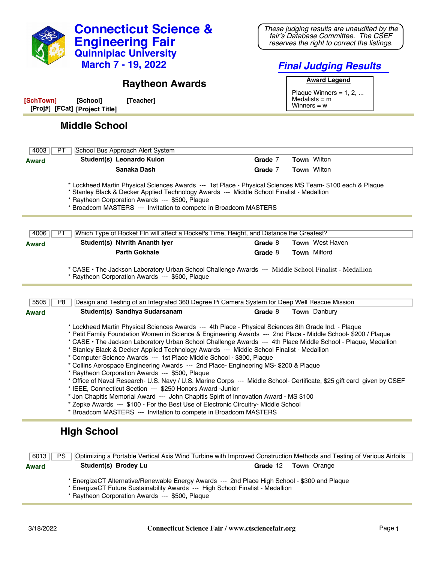

\* EnergizeCT Alternative/Renewable Energy Awards --- 2nd Place High School - \$300 and Plaque

- \* EnergizeCT Future Sustainability Awards --- High School Finalist Medallion
- \* Raytheon Corporation Awards --- \$500, Plaque